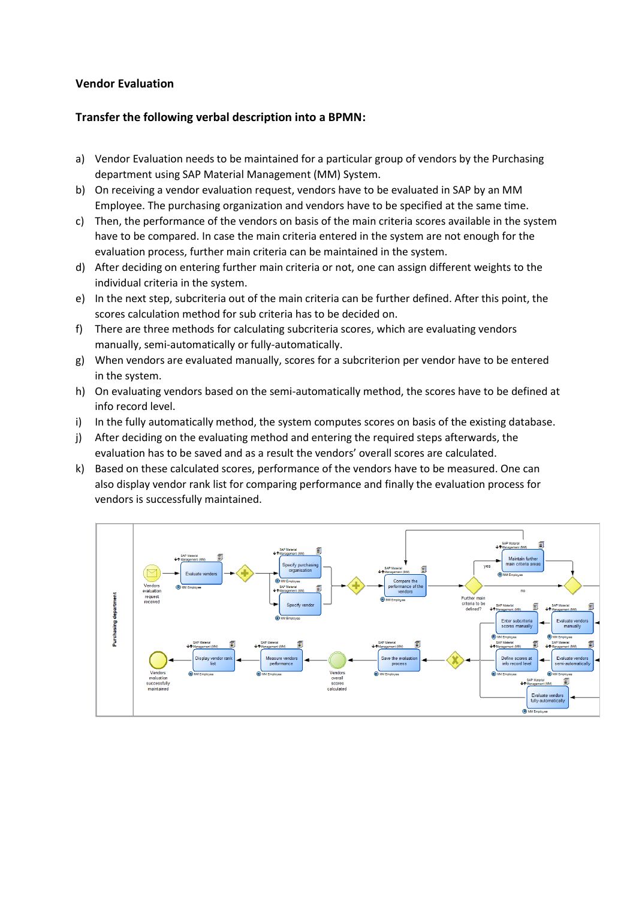## **Vendor Evaluation**

## **Transfer the following verbal description into a BPMN:**

- a) Vendor Evaluation needs to be maintained for a particular group of vendors by the Purchasing department using SAP Material Management (MM) System.
- b) On receiving a vendor evaluation request, vendors have to be evaluated in SAP by an MM Employee. The purchasing organization and vendors have to be specified at the same time.
- c) Then, the performance of the vendors on basis of the main criteria scores available in the system have to be compared. In case the main criteria entered in the system are not enough for the evaluation process, further main criteria can be maintained in the system.
- d) After deciding on entering further main criteria or not, one can assign different weights to the individual criteria in the system.
- e) In the next step, subcriteria out of the main criteria can be further defined. After this point, the scores calculation method for sub criteria has to be decided on.
- f) There are three methods for calculating subcriteria scores, which are evaluating vendors manually, semi-automatically or fully-automatically.
- g) When vendors are evaluated manually, scores for a subcriterion per vendor have to be entered in the system.
- h) On evaluating vendors based on the semi-automatically method, the scores have to be defined at info record level.
- i) In the fully automatically method, the system computes scores on basis of the existing database.
- j) After deciding on the evaluating method and entering the required steps afterwards, the evaluation has to be saved and as a result the vendors' overall scores are calculated.
- k) Based on these calculated scores, performance of the vendors have to be measured. One can also display vendor rank list for comparing performance and finally the evaluation process for vendors is successfully maintained.